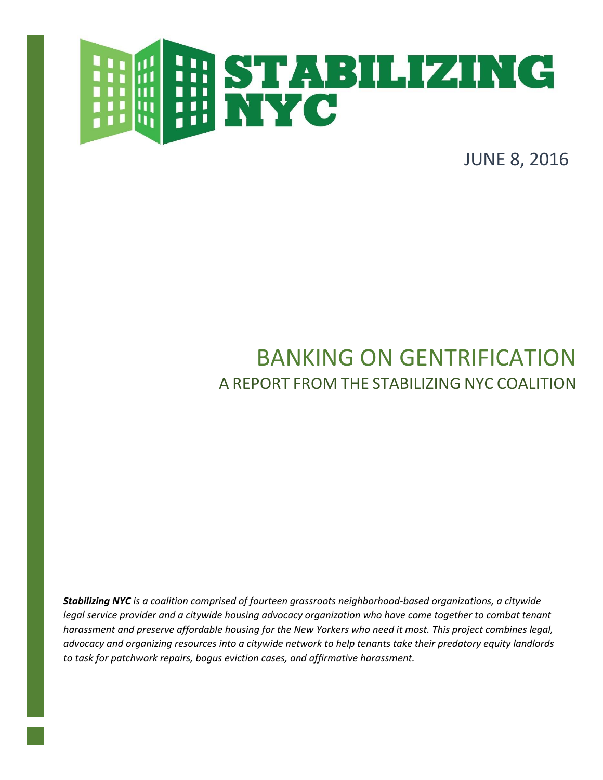

JUNE 8, 2016

# BANKING ON GENTRIFICATION A REPORT FROM THE STABILIZING NYC COALITION

*Stabilizing NYC is a coalition comprised of fourteen grassroots neighborhood-based organizations, a citywide legal service provider and a citywide housing advocacy organization who have come together to combat tenant harassment and preserve affordable housing for the New Yorkers who need it most. This project combines legal, advocacy and organizing resources into a citywide network to help tenants take their predatory equity landlords to task for patchwork repairs, bogus eviction cases, and affirmative harassment.*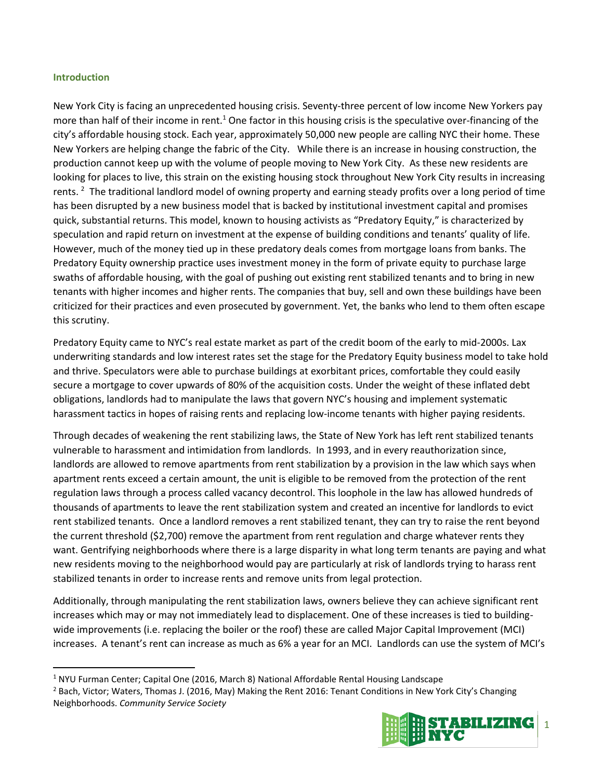#### **Introduction**

 $\overline{\phantom{a}}$ 

New York City is facing an unprecedented housing crisis. Seventy-three percent of low income New Yorkers pay more than half of their income in rent.<sup>1</sup> One factor in this housing crisis is the speculative over-financing of the city's affordable housing stock. Each year, approximately 50,000 new people are calling NYC their home. These New Yorkers are helping change the fabric of the City. While there is an increase in housing construction, the production cannot keep up with the volume of people moving to New York City. As these new residents are looking for places to live, this strain on the existing housing stock throughout New York City results in increasing rents. <sup>2</sup> The traditional landlord model of owning property and earning steady profits over a long period of time has been disrupted by a new business model that is backed by institutional investment capital and promises quick, substantial returns. This model, known to housing activists as "Predatory Equity," is characterized by speculation and rapid return on investment at the expense of building conditions and tenants' quality of life. However, much of the money tied up in these predatory deals comes from mortgage loans from banks. The Predatory Equity ownership practice uses investment money in the form of private equity to purchase large swaths of affordable housing, with the goal of pushing out existing rent stabilized tenants and to bring in new tenants with higher incomes and higher rents. The companies that buy, sell and own these buildings have been criticized for their practices and even prosecuted by government. Yet, the banks who lend to them often escape this scrutiny.

Predatory Equity came to NYC's real estate market as part of the credit boom of the early to mid-2000s. Lax underwriting standards and low interest rates set the stage for the Predatory Equity business model to take hold and thrive. Speculators were able to purchase buildings at exorbitant prices, comfortable they could easily secure a mortgage to cover upwards of 80% of the acquisition costs. Under the weight of these inflated debt obligations, landlords had to manipulate the laws that govern NYC's housing and implement systematic harassment tactics in hopes of raising rents and replacing low-income tenants with higher paying residents.

Through decades of weakening the rent stabilizing laws, the State of New York has left rent stabilized tenants vulnerable to harassment and intimidation from landlords. In 1993, and in every reauthorization since, landlords are allowed to remove apartments from rent stabilization by a provision in the law which says when apartment rents exceed a certain amount, the unit is eligible to be removed from the protection of the rent regulation laws through a process called vacancy decontrol. This loophole in the law has allowed hundreds of thousands of apartments to leave the rent stabilization system and created an incentive for landlords to evict rent stabilized tenants. Once a landlord removes a rent stabilized tenant, they can try to raise the rent beyond the current threshold (\$2,700) remove the apartment from rent regulation and charge whatever rents they want. Gentrifying neighborhoods where there is a large disparity in what long term tenants are paying and what new residents moving to the neighborhood would pay are particularly at risk of landlords trying to harass rent stabilized tenants in order to increase rents and remove units from legal protection.

Additionally, through manipulating the rent stabilization laws, owners believe they can achieve significant rent increases which may or may not immediately lead to displacement. One of these increases is tied to buildingwide improvements (i.e. replacing the boiler or the roof) these are called Major Capital Improvement (MCI) increases. A tenant's rent can increase as much as 6% a year for an MCI. Landlords can use the system of MCI's

<sup>&</sup>lt;sup>2</sup> Bach, Victor; Waters, Thomas J. (2016, May) Making the Rent 2016: Tenant Conditions in New York City's Changing Neighborhoods. *Community Service Society*



<sup>&</sup>lt;sup>1</sup> NYU Furman Center; Capital One (2016, March 8) National Affordable Rental Housing Landscape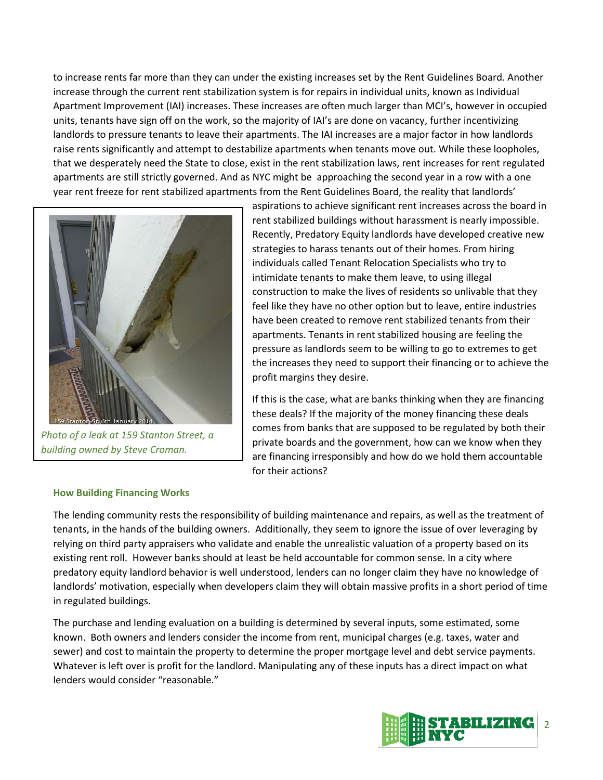to increase rents far more than they can under the existing increases set by the Rent Guidelines Board. Another increase through the current rent stabilization system is for repairs in individual units, known as Individual Apartment Improvement (IAI) increases. These increases are often much larger than MCI's, however in occupied units, tenants have sign off on the work, so the majority of IAI's are done on vacancy, further incentivizing landlords to pressure tenants to leave their apartments. The IAI increases are a major factor in how landlords raise rents significantly and attempt to destabilize apartments when tenants move out. While these loopholes, that we desperately need the State to close, exist in the rent stabilization laws, rent increases for rent regulated apartments are still strictly governed. And as NYC might be approaching the second year in a row with a one year rent freeze for rent stabilized apartments from the Rent Guidelines Board, the reality that landlords'



*Photo of a leak at 159 Stanton Street, a building owned by Steve Croman.*

aspirations to achieve significant rent increases across the board in rent stabilized buildings without harassment is nearly impossible. Recently, Predatory Equity landlords have developed creative new strategies to harass tenants out of their homes. From hiring individuals called Tenant Relocation Specialists who try to intimidate tenants to make them leave, to using illegal construction to make the lives of residents so unlivable that they feel like they have no other option but to leave, entire industries have been created to remove rent stabilized tenants from their apartments. Tenants in rent stabilized housing are feeling the pressure as landlords seem to be willing to go to extremes to get the increases they need to support their financing or to achieve the profit margins they desire.

If this is the case, what are banks thinking when they are financing these deals? If the majority of the money financing these deals comes from banks that are supposed to be regulated by both their private boards and the government, how can we know when they are financing irresponsibly and how do we hold them accountable for their actions?

#### **How Building Financing Works**

The lending community rests the responsibility of building maintenance and repairs, as well as the treatment of tenants, in the hands of the building owners. Additionally, they seem to ignore the issue of over leveraging by relying on third party appraisers who validate and enable the unrealistic valuation of a property based on its existing rent roll. However banks should at least be held accountable for common sense. In a city where predatory equity landlord behavior is well understood, lenders can no longer claim they have no knowledge of landlords' motivation, especially when developers claim they will obtain massive profits in a short period of time in regulated buildings.

The purchase and lending evaluation on a building is determined by several inputs, some estimated, some known. Both owners and lenders consider the income from rent, municipal charges (e.g. taxes, water and sewer) and cost to maintain the property to determine the proper mortgage level and debt service payments. Whatever is left over is profit for the landlord. Manipulating any of these inputs has a direct impact on what lenders would consider "reasonable."

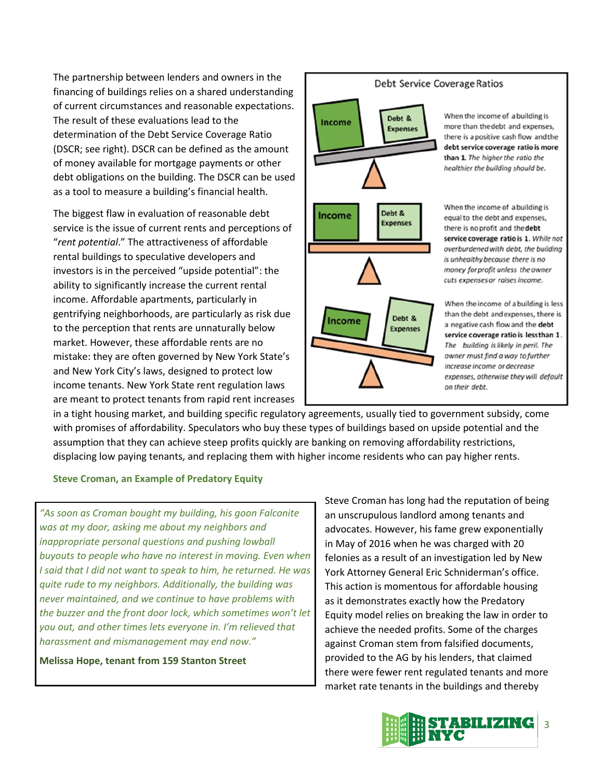The partnership between lenders and owners in the financing of buildings relies on a shared understanding of current circumstances and reasonable expectations. The result of these evaluations lead to the determination of the Debt Service Coverage Ratio (DSCR; see right). DSCR can be defined as the amount of money available for mortgage payments or other debt obligations on the building. The DSCR can be used as a tool to measure a building's financial health.

The biggest flaw in evaluation of reasonable debt service is the issue of current rents and perceptions of "*rent potential*." The attractiveness of affordable rental buildings to speculative developers and investors is in the perceived "upside potential": the ability to significantly increase the current rental income. Affordable apartments, particularly in gentrifying neighborhoods, are particularly as risk due to the perception that rents are unnaturally below market. However, these affordable rents are no mistake: they are often governed by New York State's and New York City's laws, designed to protect low income tenants. New York State rent regulation laws are meant to protect tenants from rapid rent increases

# Debt & **Income Expenses** Debt & Income **Expenses** Debt & Income **Expenses**

#### Debt Service Coverage Ratios

When the income of a building is more than the debt and expenses, there is a positive cash flow and the debt service coverage ratio is more than 1 The higher the ratio the healthier the building should be.

When the income of a building is equal to the debt and expenses, there is no profit and the debt service coverage ratio is 1. While not overburdened with debt, the building is unhealthy because there is no money for profit unless the owner cuts expenses or raises income.

When the income of a building is less than the debt and expenses, there is a negative cash flow and the debt service coverage ratio is lessthan 1. The building is likely in peril. The owner must find a way to further increase income or decrease expenses, otherwise they will default on their debt.

in a tight housing market, and building specific regulatory agreements, usually tied to government subsidy, come with promises of affordability. Speculators who buy these types of buildings based on upside potential and the assumption that they can achieve steep profits quickly are banking on removing affordability restrictions, displacing low paying tenants, and replacing them with higher income residents who can pay higher rents.

## **Steve Croman, an Example of Predatory Equity**

*"As soon as Croman bought my building, his goon Falconite was at my door, asking me about my neighbors and inappropriate personal questions and pushing lowball buyouts to people who have no interest in moving. Even when I said that I did not want to speak to him, he returned. He was quite rude to my neighbors. Additionally, the building was never maintained, and we continue to have problems with the buzzer and the front door lock, which sometimes won't let you out, and other times lets everyone in. I'm relieved that harassment and mismanagement may end now."*

**Melissa Hope, tenant from 159 Stanton Street**

Steve Croman has long had the reputation of being an unscrupulous landlord among tenants and advocates. However, his fame grew exponentially in May of 2016 when he was charged with 20 felonies as a result of an investigation led by New York Attorney General Eric Schniderman's office. This action is momentous for affordable housing as it demonstrates exactly how the Predatory Equity model relies on breaking the law in order to achieve the needed profits. Some of the charges against Croman stem from falsified documents, provided to the AG by his lenders, that claimed there were fewer rent regulated tenants and more market rate tenants in the buildings and thereby

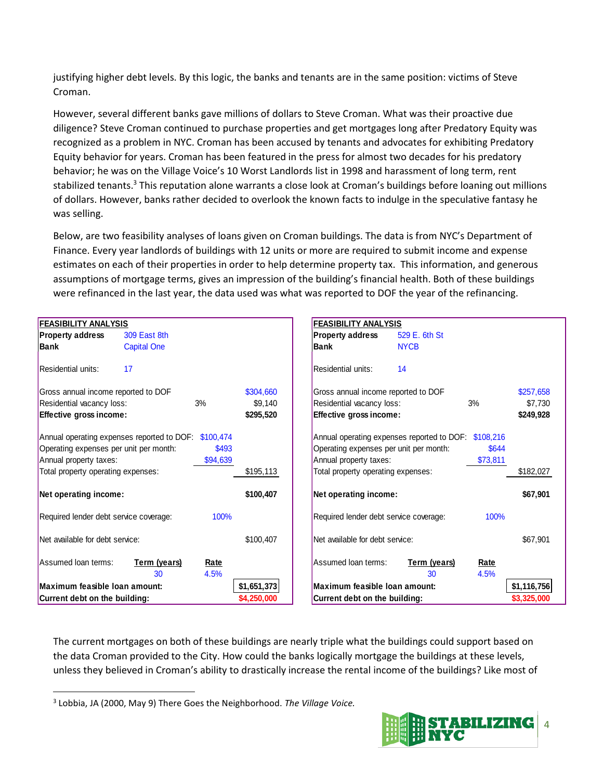justifying higher debt levels. By this logic, the banks and tenants are in the same position: victims of Steve Croman.

However, several different banks gave millions of dollars to Steve Croman. What was their proactive due diligence? Steve Croman continued to purchase properties and get mortgages long after Predatory Equity was recognized as a problem in NYC. Croman has been accused by tenants and advocates for exhibiting Predatory Equity behavior for years. Croman has been featured in the press for almost two decades for his predatory behavior; he was on the Village Voice's 10 Worst Landlords list in 1998 and harassment of long term, rent stabilized tenants.<sup>3</sup> This reputation alone warrants a close look at Croman's buildings before loaning out millions of dollars. However, banks rather decided to overlook the known facts to indulge in the speculative fantasy he was selling.

Below, are two feasibility analyses of loans given on Croman buildings. The data is from NYC's Department of Finance. Every year landlords of buildings with 12 units or more are required to submit income and expense estimates on each of their properties in order to help determine property tax. This information, and generous assumptions of mortgage terms, gives an impression of the building's financial health. Both of these buildings were refinanced in the last year, the data used was what was reported to DOF the year of the refinancing.

| <b>FEASIBILITY ANALYSIS</b>                          |                    |              |                                        | <b>FEASIBILITY ANALYSIS</b>                          |                    |              |             |
|------------------------------------------------------|--------------------|--------------|----------------------------------------|------------------------------------------------------|--------------------|--------------|-------------|
| <b>Property address</b>                              | 309 East 8th       |              |                                        | <b>Property address</b>                              | 529 E. 6th St      |              |             |
| <b>Bank</b>                                          | <b>Capital One</b> |              |                                        | Bank                                                 | <b>NYCB</b>        |              |             |
| <b>Residential units:</b>                            | 17                 |              |                                        | Residential units:                                   | 14                 |              |             |
| Gross annual income reported to DOF<br>\$304,660     |                    |              |                                        | Gross annual income reported to DOF                  |                    |              | \$257,658   |
| Residential vacancy loss:<br>3%                      |                    |              | \$9,140                                | Residential vacancy loss:<br>3%                      |                    |              | \$7,730     |
| Effective gross income:                              |                    |              | \$295,520                              | Effective gross income:                              |                    |              | \$249,928   |
| Annual operating expenses reported to DOF: \$100,474 |                    |              |                                        | Annual operating expenses reported to DOF: \$108,216 |                    |              |             |
| Operating expenses per unit per month:<br>\$493      |                    |              | Operating expenses per unit per month: |                                                      | \$644              |              |             |
| Annual property taxes:                               |                    | \$94,639     |                                        | Annual property taxes:                               |                    | \$73,811     |             |
| Total property operating expenses:                   |                    |              | \$195,113                              | Total property operating expenses:                   |                    |              | \$182,027   |
| Net operating income:                                |                    |              | \$100,407                              | Net operating income:                                |                    |              | \$67,901    |
| Required lender debt service coverage:               |                    | 100%         |                                        | Required lender debt service coverage:               |                    | 100%         |             |
| Net available for debt service:                      |                    |              | \$100,407                              | Net available for debt service:                      |                    |              | \$67,901    |
| Assumed loan terms:                                  | Term (years)<br>30 | Rate<br>4.5% |                                        | Assumed loan terms:                                  | Term (years)<br>30 | Rate<br>4.5% |             |
| Maximum feasible Ioan amount:                        |                    |              | \$1,651,373                            | Maximum feasible Ioan amount:                        |                    |              | \$1,116,756 |
| Current debt on the building:<br>\$4,250,000         |                    |              |                                        | Current debt on the building:                        |                    |              | \$3,325,000 |
|                                                      |                    |              |                                        |                                                      |                    |              |             |

The current mortgages on both of these buildings are nearly triple what the buildings could support based on the data Croman provided to the City. How could the banks logically mortgage the buildings at these levels, unless they believed in Croman's ability to drastically increase the rental income of the buildings? Like most of

 $\overline{\phantom{a}}$ 



<sup>3</sup> Lobbia, JA (2000, May 9) There Goes the Neighborhood. *The Village Voice.*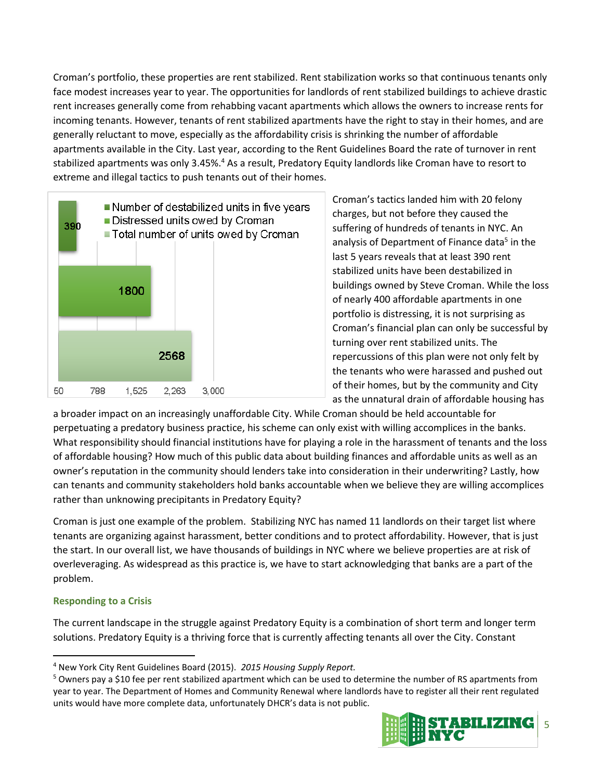Croman's portfolio, these properties are rent stabilized. Rent stabilization works so that continuous tenants only face modest increases year to year. The opportunities for landlords of rent stabilized buildings to achieve drastic rent increases generally come from rehabbing vacant apartments which allows the owners to increase rents for incoming tenants. However, tenants of rent stabilized apartments have the right to stay in their homes, and are generally reluctant to move, especially as the affordability crisis is shrinking the number of affordable apartments available in the City. Last year, according to the Rent Guidelines Board the rate of turnover in rent stabilized apartments was only 3.45%.<sup>4</sup> As a result, Predatory Equity landlords like Croman have to resort to extreme and illegal tactics to push tenants out of their homes.



Croman's tactics landed him with 20 felony charges, but not before they caused the suffering of hundreds of tenants in NYC. An analysis of Department of Finance data<sup>5</sup> in the last 5 years reveals that at least 390 rent stabilized units have been destabilized in buildings owned by Steve Croman. While the loss of nearly 400 affordable apartments in one portfolio is distressing, it is not surprising as Croman's financial plan can only be successful by turning over rent stabilized units. The repercussions of this plan were not only felt by the tenants who were harassed and pushed out of their homes, but by the community and City as the unnatural drain of affordable housing has

a broader impact on an increasingly unaffordable City. While Croman should be held accountable for perpetuating a predatory business practice, his scheme can only exist with willing accomplices in the banks. What responsibility should financial institutions have for playing a role in the harassment of tenants and the loss of affordable housing? How much of this public data about building finances and affordable units as well as an owner's reputation in the community should lenders take into consideration in their underwriting? Lastly, how can tenants and community stakeholders hold banks accountable when we believe they are willing accomplices rather than unknowing precipitants in Predatory Equity?

Croman is just one example of the problem. Stabilizing NYC has named 11 landlords on their target list where tenants are organizing against harassment, better conditions and to protect affordability. However, that is just the start. In our overall list, we have thousands of buildings in NYC where we believe properties are at risk of overleveraging. As widespread as this practice is, we have to start acknowledging that banks are a part of the problem.

## **Responding to a Crisis**

 $\overline{a}$ 

The current landscape in the struggle against Predatory Equity is a combination of short term and longer term solutions. Predatory Equity is a thriving force that is currently affecting tenants all over the City. Constant

<sup>5</sup> Owners pay a \$10 fee per rent stabilized apartment which can be used to determine the number of RS apartments from year to year. The Department of Homes and Community Renewal where landlords have to register all their rent regulated units would have more complete data, unfortunately DHCR's data is not public.



<sup>4</sup> New York City Rent Guidelines Board (2015). *2015 Housing Supply Report.*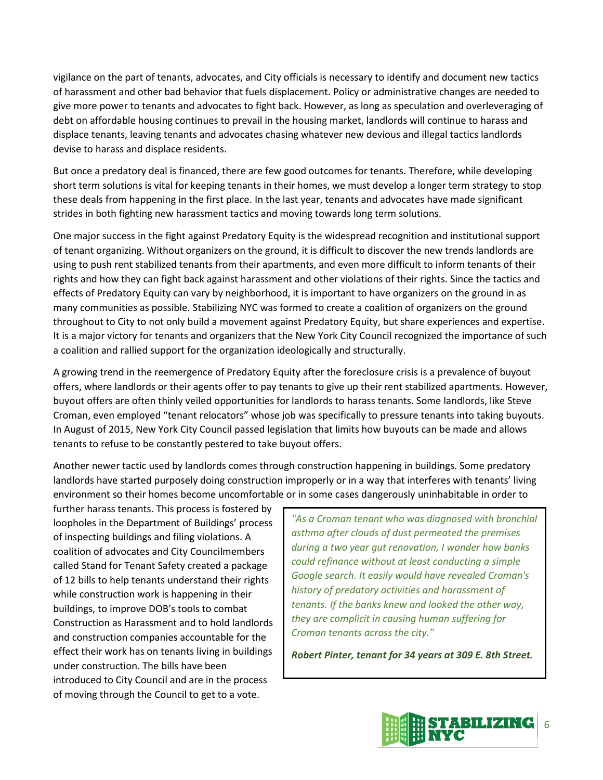vigilance on the part of tenants, advocates, and City officials is necessary to identify and document new tactics of harassment and other bad behavior that fuels displacement. Policy or administrative changes are needed to give more power to tenants and advocates to fight back. However, as long as speculation and overleveraging of debt on affordable housing continues to prevail in the housing market, landlords will continue to harass and displace tenants, leaving tenants and advocates chasing whatever new devious and illegal tactics landlords devise to harass and displace residents.

But once a predatory deal is financed, there are few good outcomes for tenants. Therefore, while developing short term solutions is vital for keeping tenants in their homes, we must develop a longer term strategy to stop these deals from happening in the first place. In the last year, tenants and advocates have made significant strides in both fighting new harassment tactics and moving towards long term solutions.

One major success in the fight against Predatory Equity is the widespread recognition and institutional support of tenant organizing. Without organizers on the ground, it is difficult to discover the new trends landlords are using to push rent stabilized tenants from their apartments, and even more difficult to inform tenants of their rights and how they can fight back against harassment and other violations of their rights. Since the tactics and effects of Predatory Equity can vary by neighborhood, it is important to have organizers on the ground in as many communities as possible. Stabilizing NYC was formed to create a coalition of organizers on the ground throughout to City to not only build a movement against Predatory Equity, but share experiences and expertise. It is a major victory for tenants and organizers that the New York City Council recognized the importance of such a coalition and rallied support for the organization ideologically and structurally.

A growing trend in the reemergence of Predatory Equity after the foreclosure crisis is a prevalence of buyout offers, where landlords or their agents offer to pay tenants to give up their rent stabilized apartments. However, buyout offers are often thinly veiled opportunities for landlords to harass tenants. Some landlords, like Steve Croman, even employed "tenant relocators" whose job was specifically to pressure tenants into taking buyouts. In August of 2015, New York City Council passed legislation that limits how buyouts can be made and allows tenants to refuse to be constantly pestered to take buyout offers.

Another newer tactic used by landlords comes through construction happening in buildings. Some predatory landlords have started purposely doing construction improperly or in a way that interferes with tenants' living environment so their homes become uncomfortable or in some cases dangerously uninhabitable in order to

further harass tenants. This process is fostered by loopholes in the Department of Buildings' process of inspecting buildings and filing violations. A coalition of advocates and City Councilmembers called Stand for Tenant Safety created a package of 12 bills to help tenants understand their rights while construction work is happening in their buildings, to improve DOB's tools to combat Construction as Harassment and to hold landlords and construction companies accountable for the effect their work has on tenants living in buildings under construction. The bills have been introduced to City Council and are in the process of moving through the Council to get to a vote.

*"As a Croman tenant who was diagnosed with bronchial asthma after clouds of dust permeated the premises during a two year gut renovation, I wonder how banks could refinance without at least conducting a simple Google search. It easily would have revealed Croman's history of predatory activities and harassment of tenants. If the banks knew and looked the other way, they are complicit in causing human suffering for Croman tenants across the city."*

*Robert Pinter, tenant for 34 years at 309 E. 8th Street.*

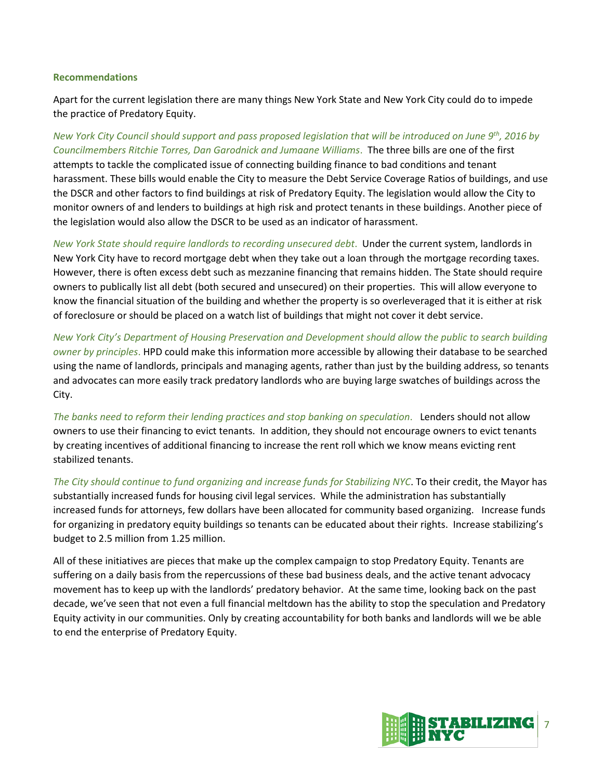#### **Recommendations**

Apart for the current legislation there are many things New York State and New York City could do to impede the practice of Predatory Equity.

*New York City Council should support and pass proposed legislation that will be introduced on June 9th, 2016 by Councilmembers Ritchie Torres, Dan Garodnick and Jumaane Williams*. The three bills are one of the first attempts to tackle the complicated issue of connecting building finance to bad conditions and tenant harassment. These bills would enable the City to measure the Debt Service Coverage Ratios of buildings, and use the DSCR and other factors to find buildings at risk of Predatory Equity. The legislation would allow the City to monitor owners of and lenders to buildings at high risk and protect tenants in these buildings. Another piece of the legislation would also allow the DSCR to be used as an indicator of harassment.

*New York State should require landlords to recording unsecured debt*. Under the current system, landlords in New York City have to record mortgage debt when they take out a loan through the mortgage recording taxes. However, there is often excess debt such as mezzanine financing that remains hidden. The State should require owners to publically list all debt (both secured and unsecured) on their properties. This will allow everyone to know the financial situation of the building and whether the property is so overleveraged that it is either at risk of foreclosure or should be placed on a watch list of buildings that might not cover it debt service.

*New York City's Department of Housing Preservation and Development should allow the public to search building owner by principles*. HPD could make this information more accessible by allowing their database to be searched using the name of landlords, principals and managing agents, rather than just by the building address, so tenants and advocates can more easily track predatory landlords who are buying large swatches of buildings across the City.

*The banks need to reform their lending practices and stop banking on speculation*. Lenders should not allow owners to use their financing to evict tenants. In addition, they should not encourage owners to evict tenants by creating incentives of additional financing to increase the rent roll which we know means evicting rent stabilized tenants.

*The City should continue to fund organizing and increase funds for Stabilizing NYC*. To their credit, the Mayor has substantially increased funds for housing civil legal services. While the administration has substantially increased funds for attorneys, few dollars have been allocated for community based organizing. Increase funds for organizing in predatory equity buildings so tenants can be educated about their rights. Increase stabilizing's budget to 2.5 million from 1.25 million.

All of these initiatives are pieces that make up the complex campaign to stop Predatory Equity. Tenants are suffering on a daily basis from the repercussions of these bad business deals, and the active tenant advocacy movement has to keep up with the landlords' predatory behavior. At the same time, looking back on the past decade, we've seen that not even a full financial meltdown has the ability to stop the speculation and Predatory Equity activity in our communities. Only by creating accountability for both banks and landlords will we be able to end the enterprise of Predatory Equity.